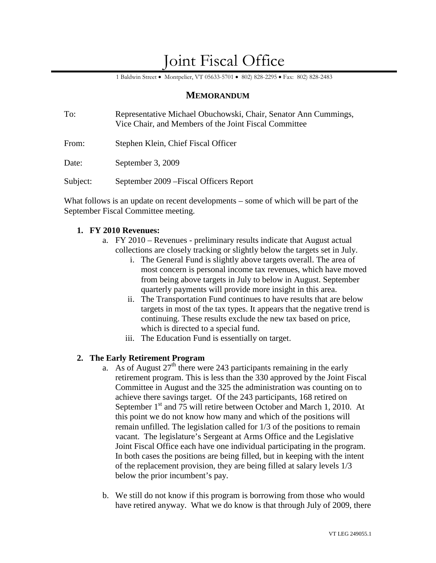# Joint Fiscal Office

1 Baldwin Street • Montpelier, VT 05633-5701 • 802) 828-2295 • Fax: 802) 828-2483

## **MEMORANDUM**

| To:      | Representative Michael Obuchowski, Chair, Senator Ann Cummings,<br>Vice Chair, and Members of the Joint Fiscal Committee |
|----------|--------------------------------------------------------------------------------------------------------------------------|
| From:    | Stephen Klein, Chief Fiscal Officer                                                                                      |
| Date:    | September 3, 2009                                                                                                        |
| Subject: | September 2009 – Fiscal Officers Report                                                                                  |

What follows is an update on recent developments – some of which will be part of the September Fiscal Committee meeting.

## **1. FY 2010 Revenues:**

- a. FY 2010 Revenues preliminary results indicate that August actual collections are closely tracking or slightly below the targets set in July.
	- i. The General Fund is slightly above targets overall. The area of most concern is personal income tax revenues, which have moved from being above targets in July to below in August. September quarterly payments will provide more insight in this area.
	- ii. The Transportation Fund continues to have results that are below targets in most of the tax types. It appears that the negative trend is continuing. These results exclude the new tax based on price, which is directed to a special fund.
	- iii. The Education Fund is essentially on target.

## **2. The Early Retirement Program**

- a. As of August  $27<sup>th</sup>$  there were 243 participants remaining in the early retirement program. This is less than the 330 approved by the Joint Fiscal Committee in August and the 325 the administration was counting on to achieve there savings target. Of the 243 participants, 168 retired on September 1<sup>st</sup> and 75 will retire between October and March 1, 2010. At this point we do not know how many and which of the positions will remain unfilled. The legislation called for 1/3 of the positions to remain vacant. The legislature's Sergeant at Arms Office and the Legislative Joint Fiscal Office each have one individual participating in the program. In both cases the positions are being filled, but in keeping with the intent of the replacement provision, they are being filled at salary levels 1/3 below the prior incumbent's pay.
- b. We still do not know if this program is borrowing from those who would have retired anyway. What we do know is that through July of 2009, there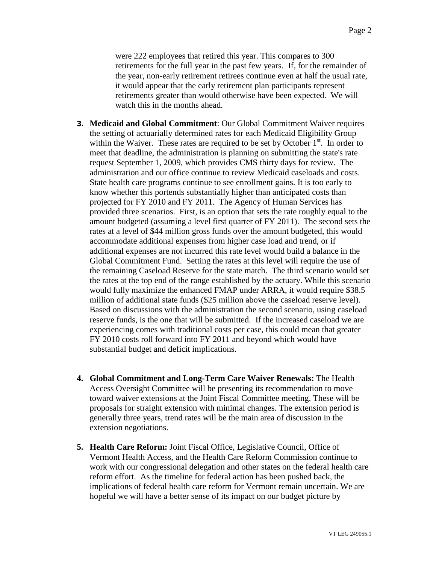were 222 employees that retired this year. This compares to 300 retirements for the full year in the past few years. If, for the remainder of the year, non-early retirement retirees continue even at half the usual rate, it would appear that the early retirement plan participants represent retirements greater than would otherwise have been expected. We will watch this in the months ahead.

- **3. Medicaid and Global Commitment**: Our Global Commitment Waiver requires the setting of actuarially determined rates for each Medicaid Eligibility Group within the Waiver. These rates are required to be set by October  $1<sup>st</sup>$ . In order to meet that deadline, the administration is planning on submitting the state's rate request September 1, 2009, which provides CMS thirty days for review. The administration and our office continue to review Medicaid caseloads and costs. State health care programs continue to see enrollment gains. It is too early to know whether this portends substantially higher than anticipated costs than projected for FY 2010 and FY 2011. The Agency of Human Services has provided three scenarios. First, is an option that sets the rate roughly equal to the amount budgeted (assuming a level first quarter of FY 2011). The second sets the rates at a level of \$44 million gross funds over the amount budgeted, this would accommodate additional expenses from higher case load and trend, or if additional expenses are not incurred this rate level would build a balance in the Global Commitment Fund. Setting the rates at this level will require the use of the remaining Caseload Reserve for the state match. The third scenario would set the rates at the top end of the range established by the actuary. While this scenario would fully maximize the enhanced FMAP under ARRA, it would require \$38.5 million of additional state funds (\$25 million above the caseload reserve level). Based on discussions with the administration the second scenario, using caseload reserve funds, is the one that will be submitted. If the increased caseload we are experiencing comes with traditional costs per case, this could mean that greater FY 2010 costs roll forward into FY 2011 and beyond which would have substantial budget and deficit implications.
- **4. Global Commitment and Long-Term Care Waiver Renewals:** The Health Access Oversight Committee will be presenting its recommendation to move toward waiver extensions at the Joint Fiscal Committee meeting. These will be proposals for straight extension with minimal changes. The extension period is generally three years, trend rates will be the main area of discussion in the extension negotiations.
- **5. Health Care Reform:** Joint Fiscal Office, Legislative Council, Office of Vermont Health Access, and the Health Care Reform Commission continue to work with our congressional delegation and other states on the federal health care reform effort. As the timeline for federal action has been pushed back, the implications of federal health care reform for Vermont remain uncertain. We are hopeful we will have a better sense of its impact on our budget picture by